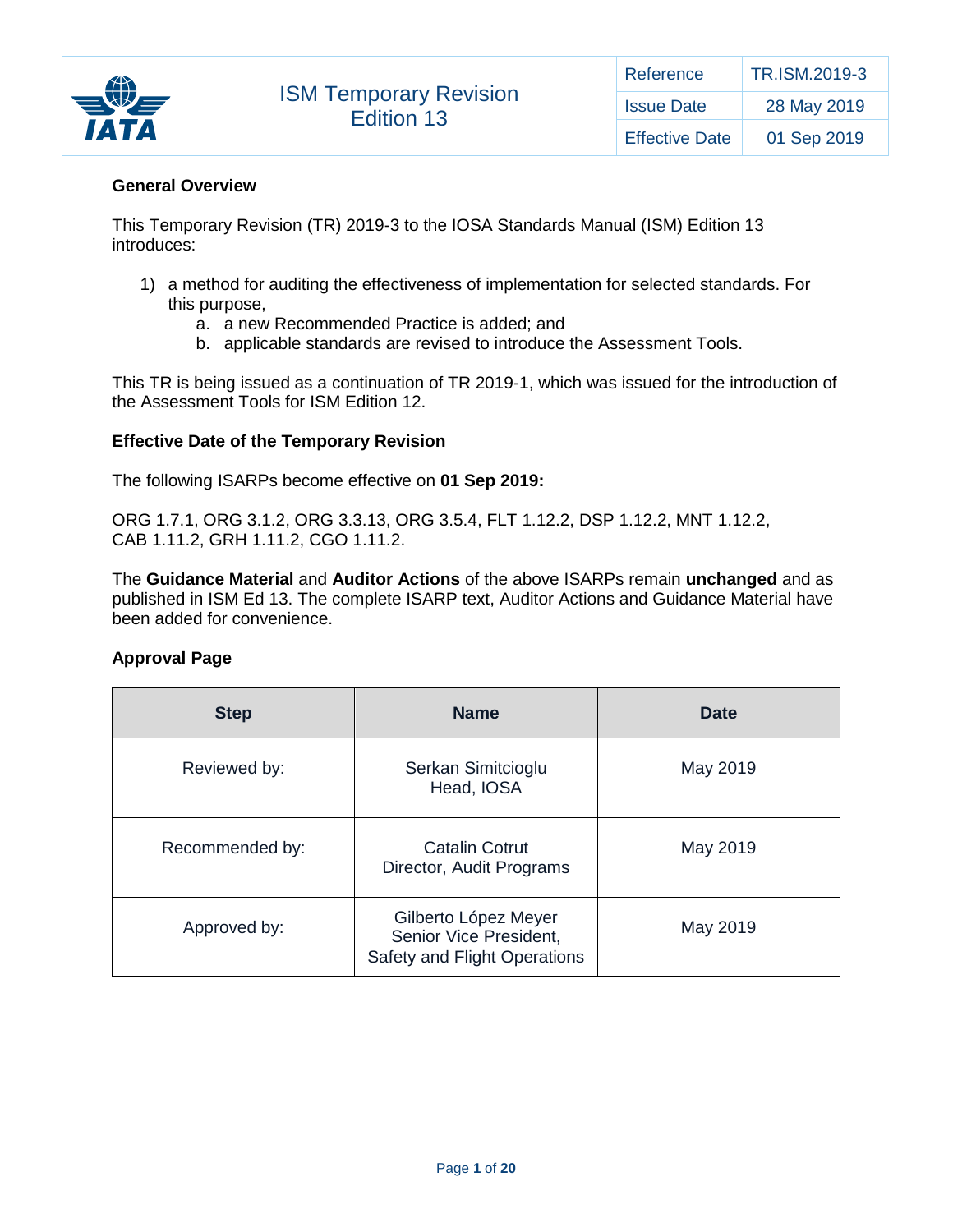

### **General Overview**

This Temporary Revision (TR) 2019-3 to the IOSA Standards Manual (ISM) Edition 13 introduces:

- 1) a method for auditing the effectiveness of implementation for selected standards. For this purpose,
	- a. a new Recommended Practice is added; and
	- b. applicable standards are revised to introduce the Assessment Tools.

This TR is being issued as a continuation of TR 2019-1, which was issued for the introduction of the Assessment Tools for ISM Edition 12.

## **Effective Date of the Temporary Revision**

The following ISARPs become effective on **01 Sep 2019:**

ORG 1.7.1, ORG 3.1.2, ORG 3.3.13, ORG 3.5.4, FLT 1.12.2, DSP 1.12.2, MNT 1.12.2, CAB 1.11.2, GRH 1.11.2, CGO 1.11.2.

The **Guidance Material** and **Auditor Actions** of the above ISARPs remain **unchanged** and as published in ISM Ed 13. The complete ISARP text, Auditor Actions and Guidance Material have been added for convenience.

| <b>Step</b>     | <b>Name</b>                                                                    | <b>Date</b> |
|-----------------|--------------------------------------------------------------------------------|-------------|
| Reviewed by:    | Serkan Simitcioglu<br>Head, IOSA                                               | May 2019    |
| Recommended by: | <b>Catalin Cotrut</b><br>Director, Audit Programs                              | May 2019    |
| Approved by:    | Gilberto López Meyer<br>Senior Vice President,<br>Safety and Flight Operations | May 2019    |

## **Approval Page**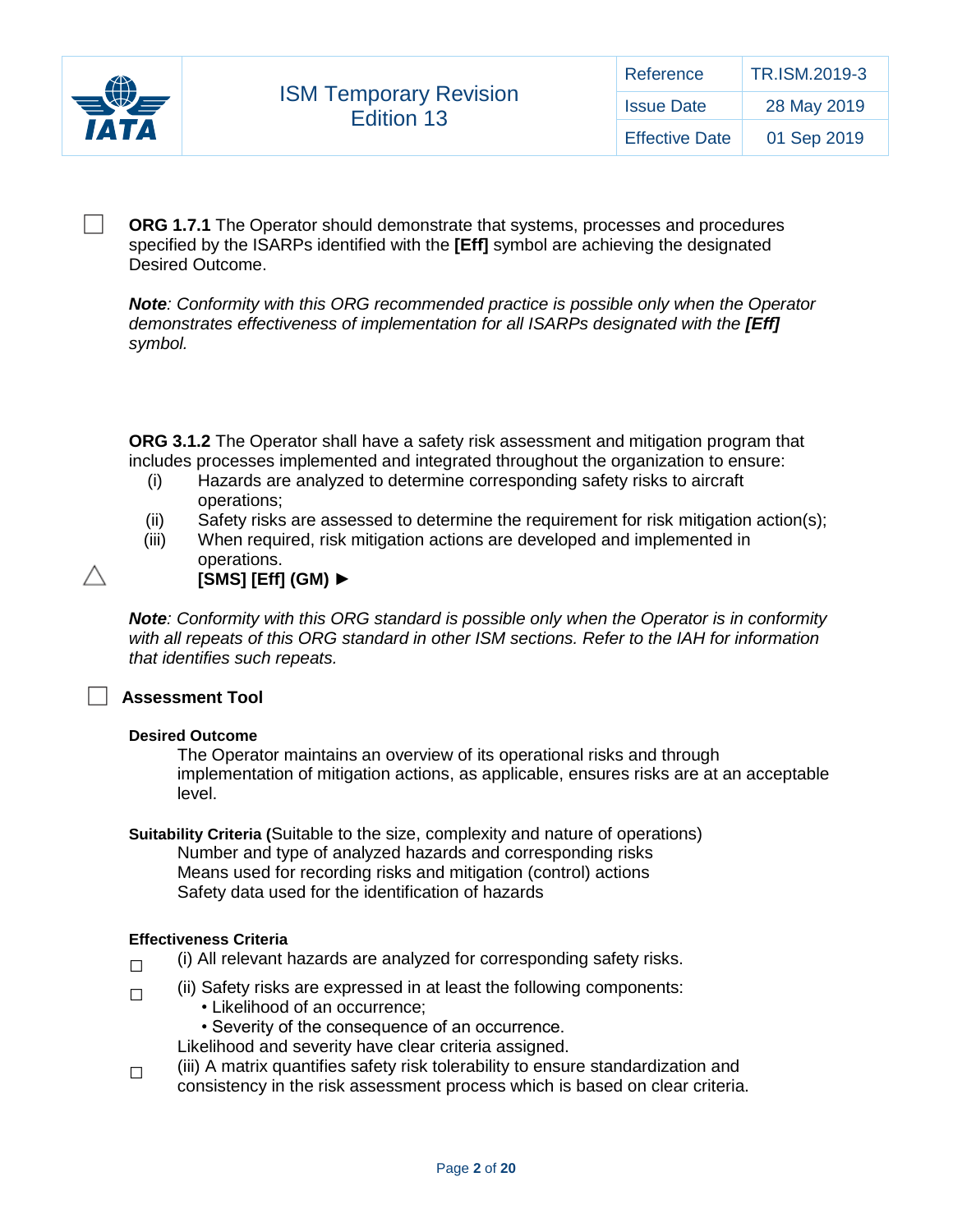

**ORG 1.7.1** The Operator should demonstrate that systems, processes and procedures specified by the ISARPs identified with the **[Eff]** symbol are achieving the designated Desired Outcome.

*Note: Conformity with this ORG recommended practice is possible only when the Operator demonstrates effectiveness of implementation for all ISARPs designated with the [Eff] symbol.*

**ORG 3.1.2** The Operator shall have a safety risk assessment and mitigation program that includes processes implemented and integrated throughout the organization to ensure:

- (i) Hazards are analyzed to determine corresponding safety risks to aircraft operations;
- (ii) Safety risks are assessed to determine the requirement for risk mitigation action(s);
- (iii) When required, risk mitigation actions are developed and implemented in operations.



# **[SMS] [Eff] (GM)** ►

*Note: Conformity with this ORG standard is possible only when the Operator is in conformity with all repeats of this ORG standard in other ISM sections. Refer to the IAH for information that identifies such repeats.*

#### **Assessment Tool**

#### **Desired Outcome**

The Operator maintains an overview of its operational risks and through implementation of mitigation actions, as applicable, ensures risks are at an acceptable level.

# **Suitability Criteria (**Suitable to the size, complexity and nature of operations) Number and type of analyzed hazards and corresponding risks

Means used for recording risks and mitigation (control) actions Safety data used for the identification of hazards

#### **Effectiveness Criteria**

- $\Box$  (i) All relevant hazards are analyzed for corresponding safety risks.
- $\Box$  (ii) Safety risks are expressed in at least the following components:
	- Likelihood of an occurrence;
	- Severity of the consequence of an occurrence.
	- Likelihood and severity have clear criteria assigned.
- $\Box$  (iii) A matrix quantifies safety risk tolerability to ensure standardization and
	- consistency in the risk assessment process which is based on clear criteria.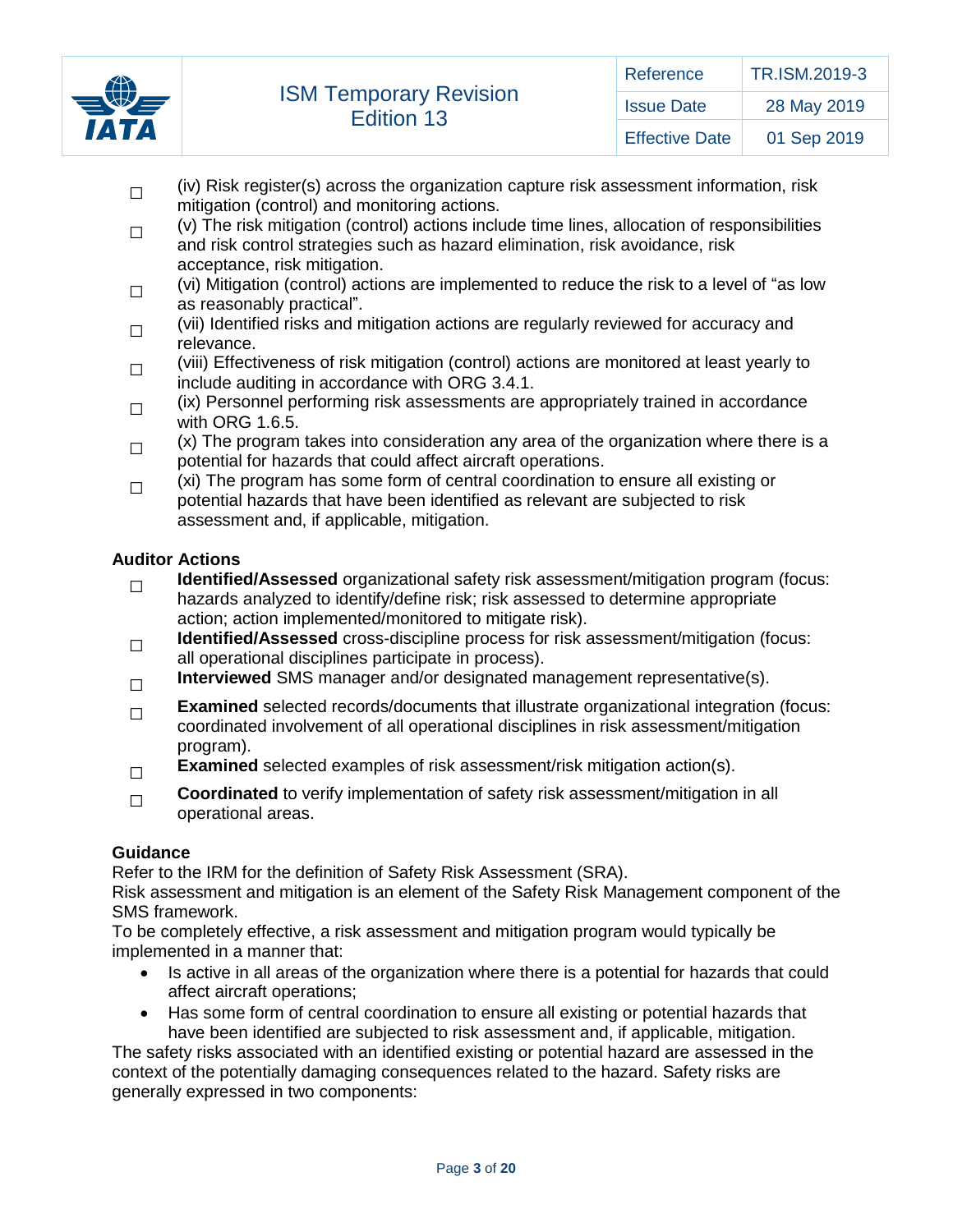

- $\Box$  (iv) Risk register(s) across the organization capture risk assessment information, risk mitigation (control) and monitoring actions.
- $\Box$  (v) The risk mitigation (control) actions include time lines, allocation of responsibilities and risk control strategies such as hazard elimination, risk avoidance, risk acceptance, risk mitigation.
- $\Box$  (vi) Mitigation (control) actions are implemented to reduce the risk to a level of "as low as reasonably practical".
- $\Box$  (vii) Identified risks and mitigation actions are regularly reviewed for accuracy and relevance.
- $\Box$  (viii) Effectiveness of risk mitigation (control) actions are monitored at least yearly to include auditing in accordance with ORG 3.4.1.
- $\Box$  (ix) Personnel performing risk assessments are appropriately trained in accordance with ORG 1.6.5.
- $\Box$  (x) The program takes into consideration any area of the organization where there is a potential for hazards that could affect aircraft operations.
- $\Box$  (xi) The program has some form of central coordination to ensure all existing or potential hazards that have been identified as relevant are subjected to risk assessment and, if applicable, mitigation.

- □ **Identified/Assessed** organizational safety risk assessment/mitigation program (focus: hazards analyzed to identify/define risk; risk assessed to determine appropriate action; action implemented/monitored to mitigate risk).
- □ **Identified/Assessed** cross-discipline process for risk assessment/mitigation (focus: all operational disciplines participate in process).
- □ **Interviewed** SMS manager and/or designated management representative(s).
- □ **Examined** selected records/documents that illustrate organizational integration (focus:
- coordinated involvement of all operational disciplines in risk assessment/mitigation program).
- □ **Examined** selected examples of risk assessment/risk mitigation action(s).
- $\Box$  **Coordinated** to verify implementation of safety risk assessment/mitigation in all operational areas.

### **Guidance**

Refer to the IRM for the definition of Safety Risk Assessment (SRA).

Risk assessment and mitigation is an element of the Safety Risk Management component of the SMS framework.

To be completely effective, a risk assessment and mitigation program would typically be implemented in a manner that:

- Is active in all areas of the organization where there is a potential for hazards that could affect aircraft operations;
- Has some form of central coordination to ensure all existing or potential hazards that have been identified are subjected to risk assessment and, if applicable, mitigation.

The safety risks associated with an identified existing or potential hazard are assessed in the context of the potentially damaging consequences related to the hazard. Safety risks are generally expressed in two components: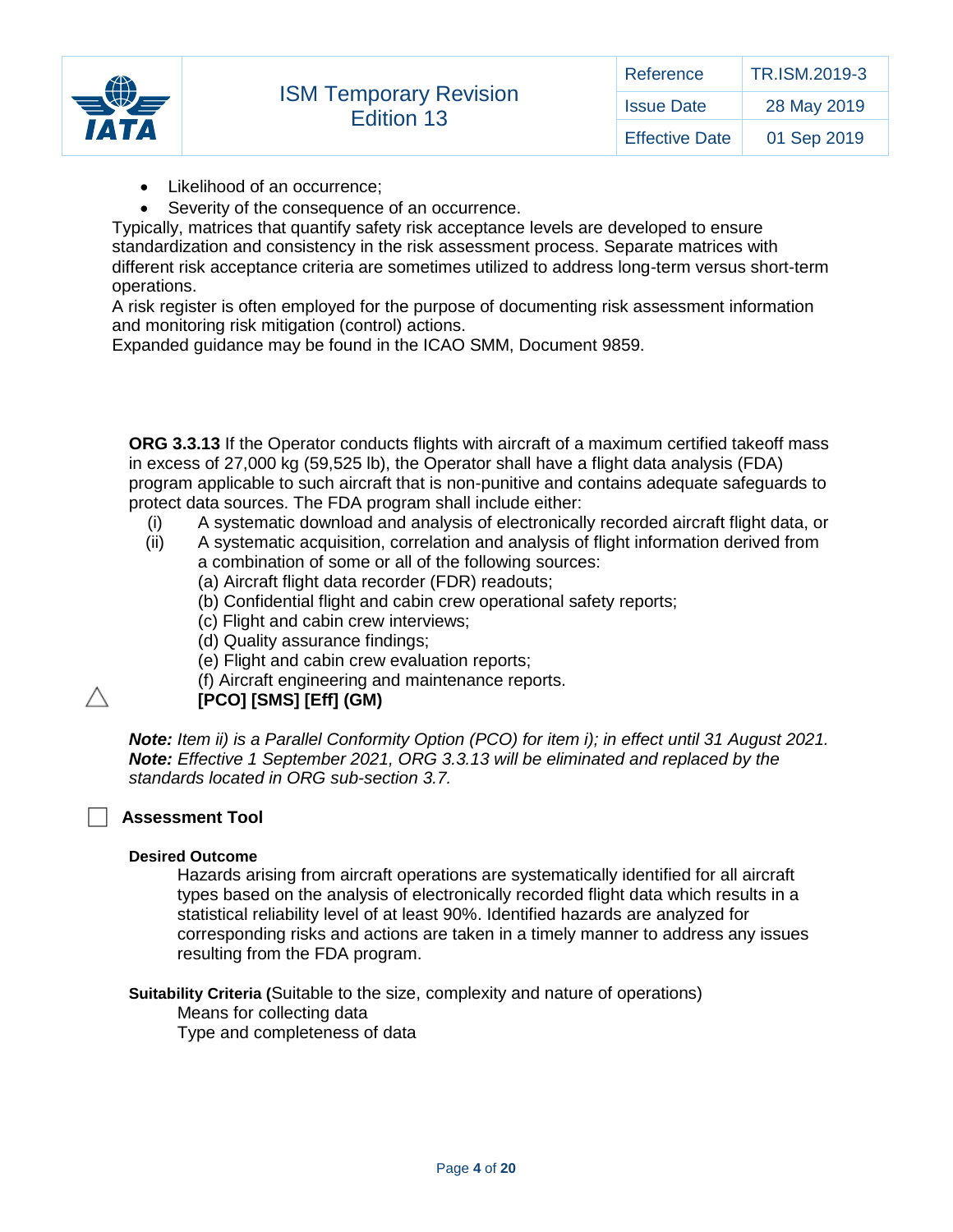

- Likelihood of an occurrence;
- Severity of the consequence of an occurrence.

Typically, matrices that quantify safety risk acceptance levels are developed to ensure standardization and consistency in the risk assessment process. Separate matrices with different risk acceptance criteria are sometimes utilized to address long-term versus short-term operations.

A risk register is often employed for the purpose of documenting risk assessment information and monitoring risk mitigation (control) actions.

Expanded guidance may be found in the ICAO SMM, Document 9859.

**ORG 3.3.13** If the Operator conducts flights with aircraft of a maximum certified takeoff mass in excess of 27,000 kg (59,525 lb), the Operator shall have a flight data analysis (FDA) program applicable to such aircraft that is non-punitive and contains adequate safeguards to protect data sources. The FDA program shall include either:

- (i) A systematic download and analysis of electronically recorded aircraft flight data, or
- (ii) A systematic acquisition, correlation and analysis of flight information derived from a combination of some or all of the following sources:
	- (a) Aircraft flight data recorder (FDR) readouts;
	- (b) Confidential flight and cabin crew operational safety reports;
	- (c) Flight and cabin crew interviews;
	- (d) Quality assurance findings;
	- (e) Flight and cabin crew evaluation reports;
	- (f) Aircraft engineering and maintenance reports.

# **[PCO] [SMS] [Eff] (GM)**

*Note: Item ii) is a Parallel Conformity Option (PCO) for item i); in effect until 31 August 2021. Note: Effective 1 September 2021, ORG 3.3.13 will be eliminated and replaced by the standards located in ORG sub-section 3.7.*

### **Assessment Tool**

#### **Desired Outcome**

Hazards arising from aircraft operations are systematically identified for all aircraft types based on the analysis of electronically recorded flight data which results in a statistical reliability level of at least 90%. Identified hazards are analyzed for corresponding risks and actions are taken in a timely manner to address any issues resulting from the FDA program.

**Suitability Criteria (**Suitable to the size, complexity and nature of operations)

Means for collecting data

Type and completeness of data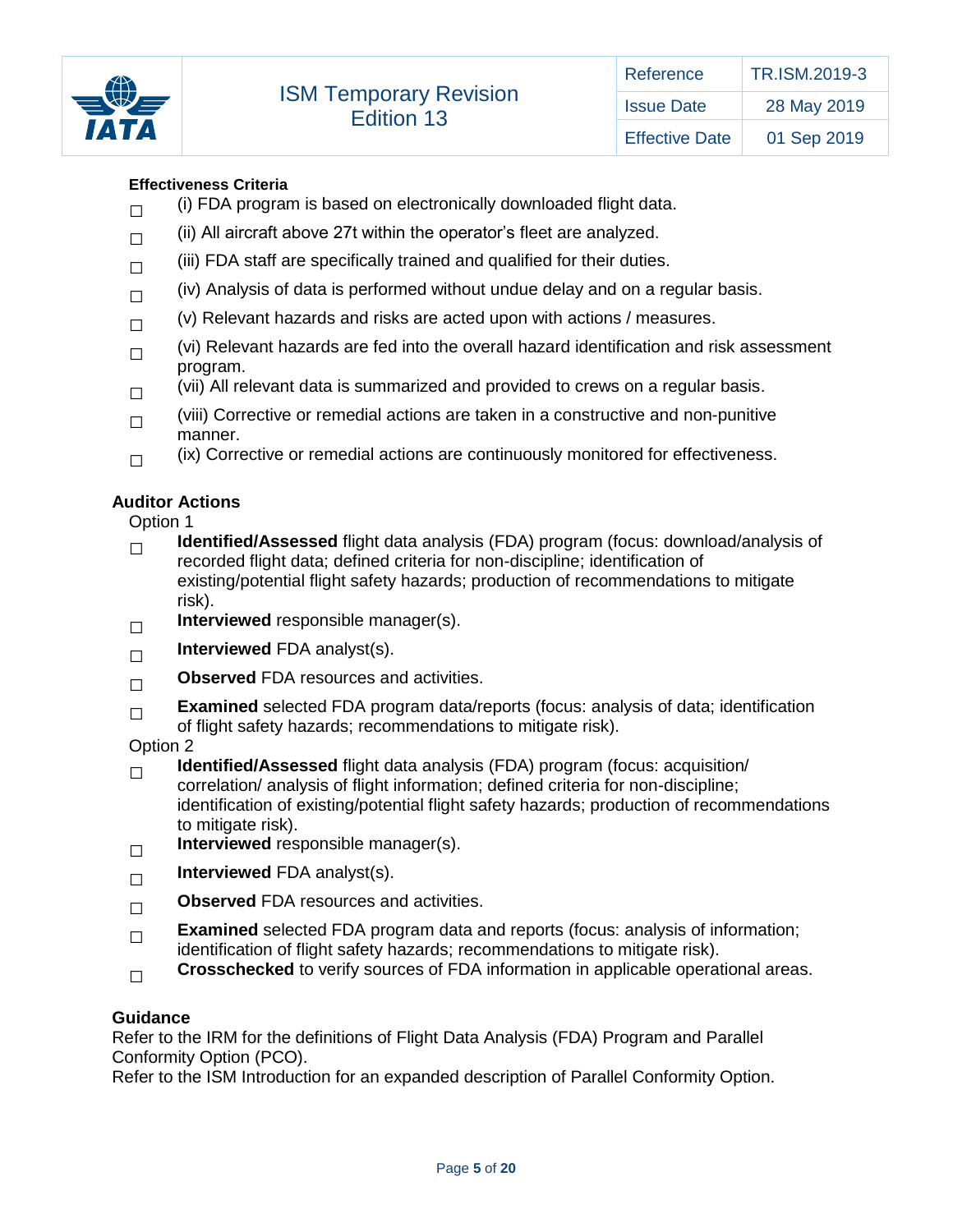

### **Effectiveness Criteria**

- $\Box$  (i) FDA program is based on electronically downloaded flight data.
- $\Box$  (ii) All aircraft above 27t within the operator's fleet are analyzed.
- $\Box$  (iii) FDA staff are specifically trained and qualified for their duties.
- $\Box$  (iv) Analysis of data is performed without undue delay and on a regular basis.
- $\Box$  (v) Relevant hazards and risks are acted upon with actions / measures.
- $\Box$  (vi) Relevant hazards are fed into the overall hazard identification and risk assessment program.
- $\Box$  (vii) All relevant data is summarized and provided to crews on a regular basis.
- $\Box$  (viii) Corrective or remedial actions are taken in a constructive and non-punitive manner.
- $\Box$  (ix) Corrective or remedial actions are continuously monitored for effectiveness.

### **Auditor Actions**

Option 1

- □ **Identified/Assessed** flight data analysis (FDA) program (focus: download/analysis of recorded flight data; defined criteria for non-discipline; identification of existing/potential flight safety hazards; production of recommendations to mitigate risk).
- $\Box$  **Interviewed** responsible manager(s).
- $\Box$  **Interviewed** FDA analyst(s).
- □ **Observed** FDA resources and activities.
- □ **Examined** selected FDA program data/reports (focus: analysis of data; identification
- of flight safety hazards; recommendations to mitigate risk).

Option 2

- □ **Identified/Assessed** flight data analysis (FDA) program (focus: acquisition/ correlation/ analysis of flight information; defined criteria for non-discipline; identification of existing/potential flight safety hazards; production of recommendations to mitigate risk).
- $\Box$  **Interviewed** responsible manager(s).
- $\Box$  **Interviewed** FDA analyst(s).
- $\Box$  **Observed** FDA resources and activities.
- $\Box$  **Examined** selected FDA program data and reports (focus: analysis of information; identification of flight safety hazards; recommendations to mitigate risk).
- □ **Crosschecked** to verify sources of FDA information in applicable operational areas.

### **Guidance**

Refer to the IRM for the definitions of Flight Data Analysis (FDA) Program and Parallel Conformity Option (PCO).

Refer to the ISM Introduction for an expanded description of Parallel Conformity Option.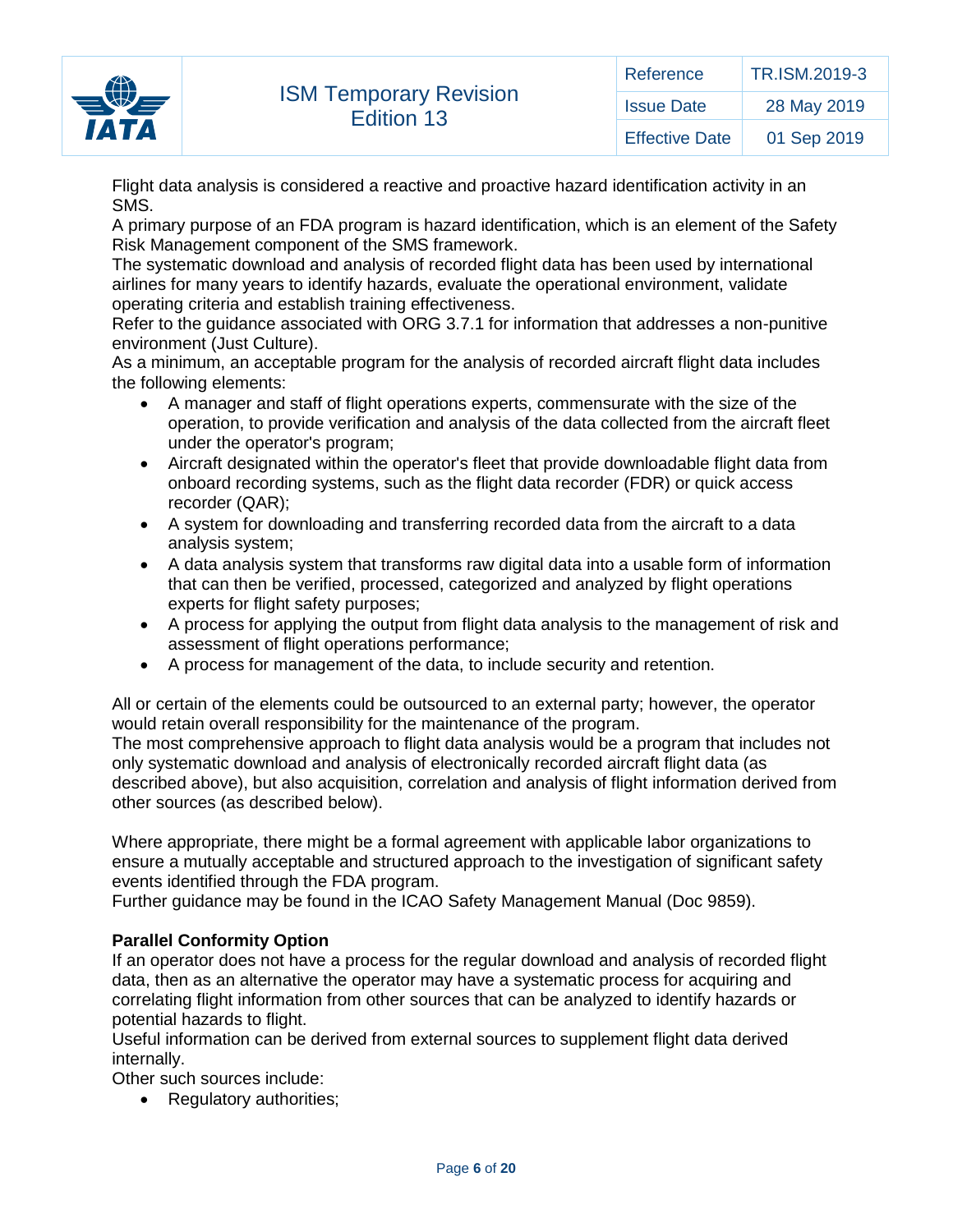

Flight data analysis is considered a reactive and proactive hazard identification activity in an SMS.

A primary purpose of an FDA program is hazard identification, which is an element of the Safety Risk Management component of the SMS framework.

The systematic download and analysis of recorded flight data has been used by international airlines for many years to identify hazards, evaluate the operational environment, validate operating criteria and establish training effectiveness.

Refer to the guidance associated with ORG 3.7.1 for information that addresses a non-punitive environment (Just Culture).

As a minimum, an acceptable program for the analysis of recorded aircraft flight data includes the following elements:

- A manager and staff of flight operations experts, commensurate with the size of the operation, to provide verification and analysis of the data collected from the aircraft fleet under the operator's program;
- Aircraft designated within the operator's fleet that provide downloadable flight data from onboard recording systems, such as the flight data recorder (FDR) or quick access recorder (QAR);
- A system for downloading and transferring recorded data from the aircraft to a data analysis system;
- A data analysis system that transforms raw digital data into a usable form of information that can then be verified, processed, categorized and analyzed by flight operations experts for flight safety purposes;
- A process for applying the output from flight data analysis to the management of risk and assessment of flight operations performance;
- A process for management of the data, to include security and retention.

All or certain of the elements could be outsourced to an external party; however, the operator would retain overall responsibility for the maintenance of the program.

The most comprehensive approach to flight data analysis would be a program that includes not only systematic download and analysis of electronically recorded aircraft flight data (as described above), but also acquisition, correlation and analysis of flight information derived from other sources (as described below).

Where appropriate, there might be a formal agreement with applicable labor organizations to ensure a mutually acceptable and structured approach to the investigation of significant safety events identified through the FDA program.

Further guidance may be found in the ICAO Safety Management Manual (Doc 9859).

## **Parallel Conformity Option**

If an operator does not have a process for the regular download and analysis of recorded flight data, then as an alternative the operator may have a systematic process for acquiring and correlating flight information from other sources that can be analyzed to identify hazards or potential hazards to flight.

Useful information can be derived from external sources to supplement flight data derived internally.

Other such sources include:

• Regulatory authorities;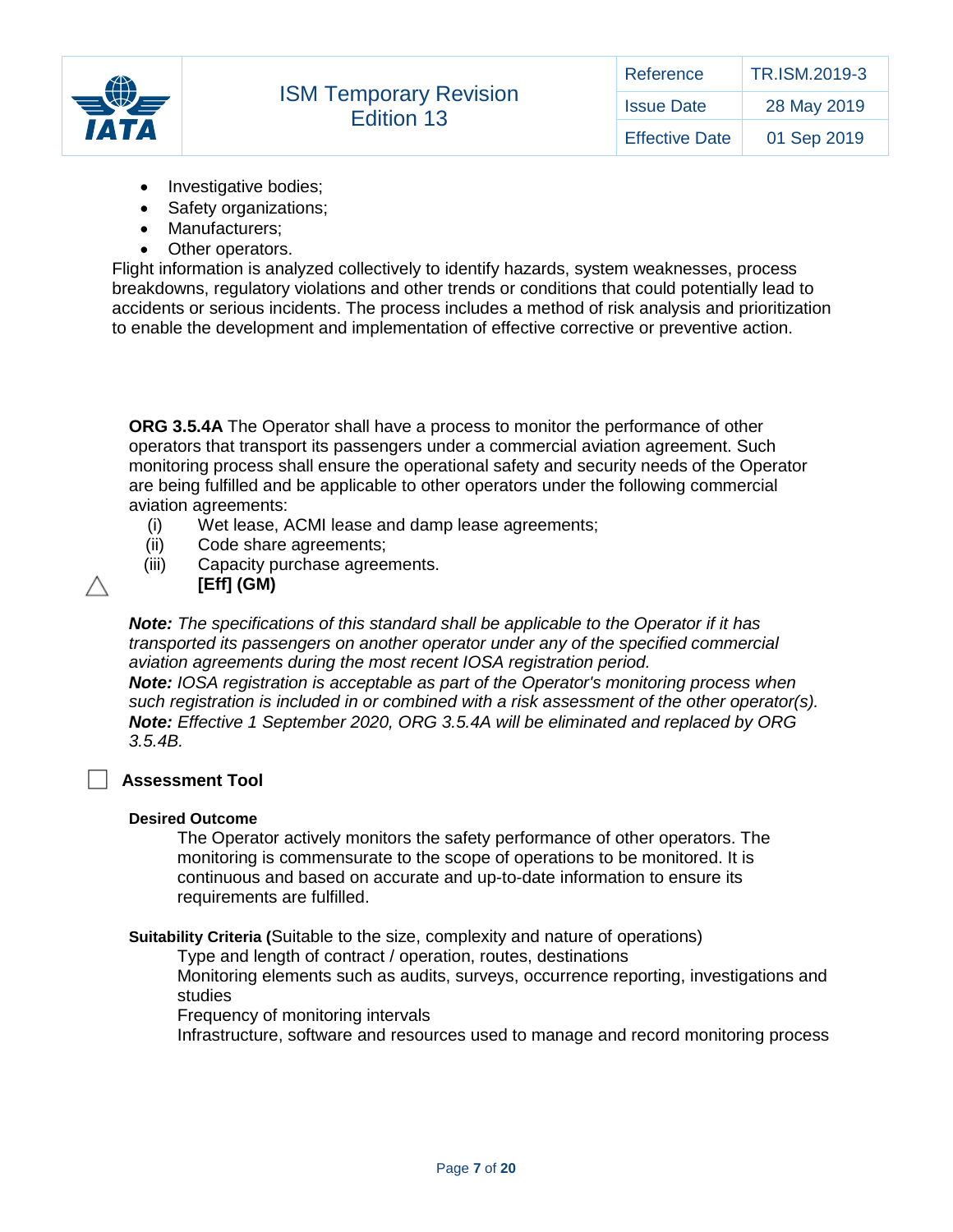

- Investigative bodies;
- Safety organizations;
- Manufacturers;
- Other operators.

Flight information is analyzed collectively to identify hazards, system weaknesses, process breakdowns, regulatory violations and other trends or conditions that could potentially lead to accidents or serious incidents. The process includes a method of risk analysis and prioritization to enable the development and implementation of effective corrective or preventive action.

**ORG 3.5.4A** The Operator shall have a process to monitor the performance of other operators that transport its passengers under a commercial aviation agreement. Such monitoring process shall ensure the operational safety and security needs of the Operator are being fulfilled and be applicable to other operators under the following commercial aviation agreements:

- (i) Wet lease, ACMI lease and damp lease agreements;
- (ii) Code share agreements;
- (iii) Capacity purchase agreements.



**[Eff] (GM)**

*Note: The specifications of this standard shall be applicable to the Operator if it has transported its passengers on another operator under any of the specified commercial aviation agreements during the most recent IOSA registration period. Note: IOSA registration is acceptable as part of the Operator's monitoring process when such registration is included in or combined with a risk assessment of the other operator(s). Note: Effective 1 September 2020, ORG 3.5.4A will be eliminated and replaced by ORG 3.5.4B.*

### **Assessment Tool**

#### **Desired Outcome**

The Operator actively monitors the safety performance of other operators. The monitoring is commensurate to the scope of operations to be monitored. It is continuous and based on accurate and up-to-date information to ensure its requirements are fulfilled.

**Suitability Criteria (**Suitable to the size, complexity and nature of operations)

Type and length of contract / operation, routes, destinations

Monitoring elements such as audits, surveys, occurrence reporting, investigations and studies

Frequency of monitoring intervals

Infrastructure, software and resources used to manage and record monitoring process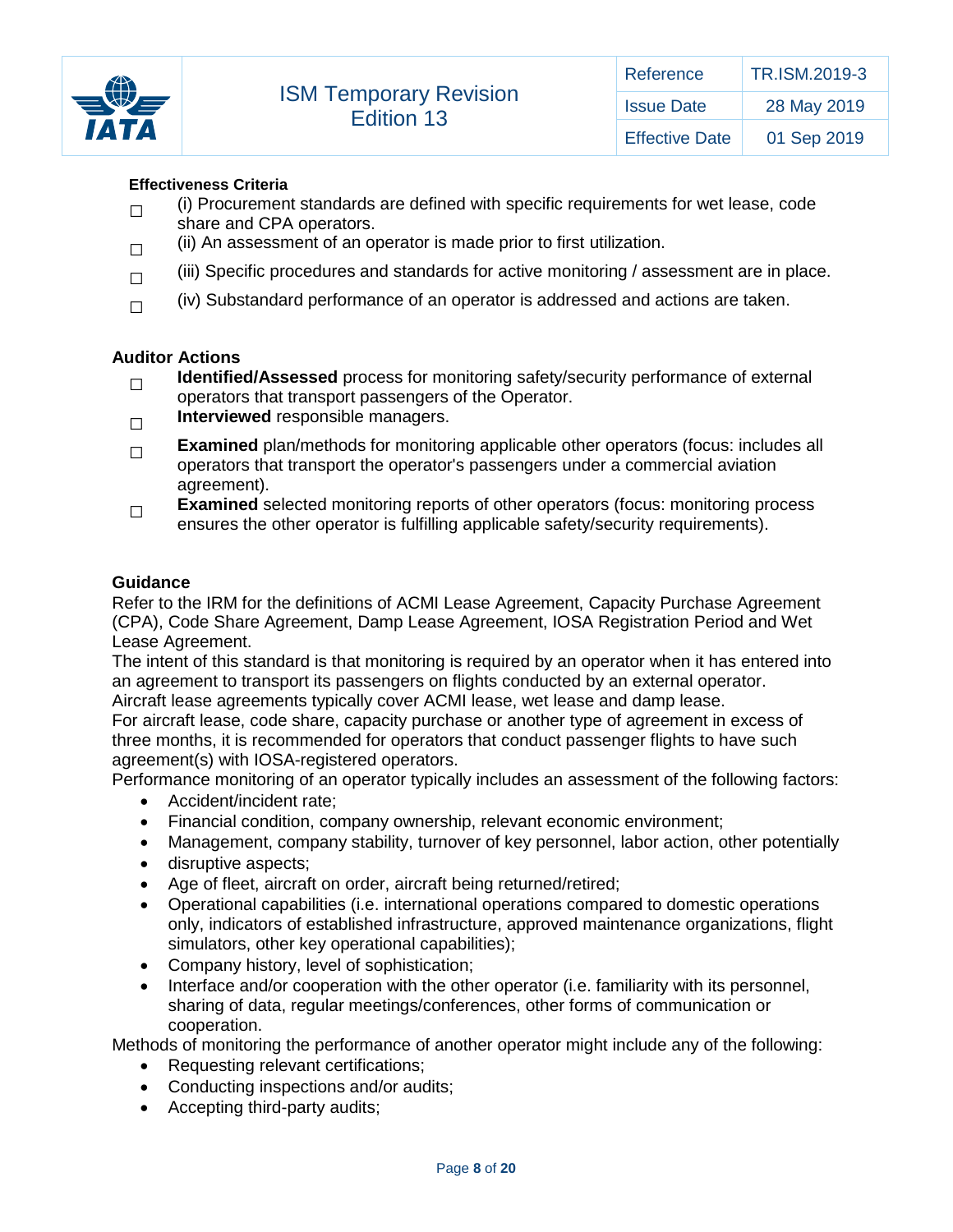

#### **Effectiveness Criteria**

- $\Box$  (i) Procurement standards are defined with specific requirements for wet lease, code share and CPA operators.
- $\Box$  (ii) An assessment of an operator is made prior to first utilization.
- $\Box$  (iii) Specific procedures and standards for active monitoring / assessment are in place.
- $\Box$  (iv) Substandard performance of an operator is addressed and actions are taken.

### **Auditor Actions**

- □ **Identified/Assessed** process for monitoring safety/security performance of external operators that transport passengers of the Operator.
- □ **Interviewed** responsible managers.
- $\Box$  **Examined** plan/methods for monitoring applicable other operators (focus: includes all operators that transport the operator's passengers under a commercial aviation agreement).
- □ **Examined** selected monitoring reports of other operators (focus: monitoring process ensures the other operator is fulfilling applicable safety/security requirements).

#### **Guidance**

Refer to the IRM for the definitions of ACMI Lease Agreement, Capacity Purchase Agreement (CPA), Code Share Agreement, Damp Lease Agreement, IOSA Registration Period and Wet Lease Agreement.

The intent of this standard is that monitoring is required by an operator when it has entered into an agreement to transport its passengers on flights conducted by an external operator. Aircraft lease agreements typically cover ACMI lease, wet lease and damp lease.

For aircraft lease, code share, capacity purchase or another type of agreement in excess of three months, it is recommended for operators that conduct passenger flights to have such agreement(s) with IOSA-registered operators.

Performance monitoring of an operator typically includes an assessment of the following factors:

- Accident/incident rate;
- Financial condition, company ownership, relevant economic environment;
- Management, company stability, turnover of key personnel, labor action, other potentially
- disruptive aspects;
- Age of fleet, aircraft on order, aircraft being returned/retired;
- Operational capabilities (i.e. international operations compared to domestic operations only, indicators of established infrastructure, approved maintenance organizations, flight simulators, other key operational capabilities);
- Company history, level of sophistication;
- Interface and/or cooperation with the other operator (i.e. familiarity with its personnel, sharing of data, regular meetings/conferences, other forms of communication or cooperation.

Methods of monitoring the performance of another operator might include any of the following:

- Requesting relevant certifications;
- Conducting inspections and/or audits;
- Accepting third-party audits;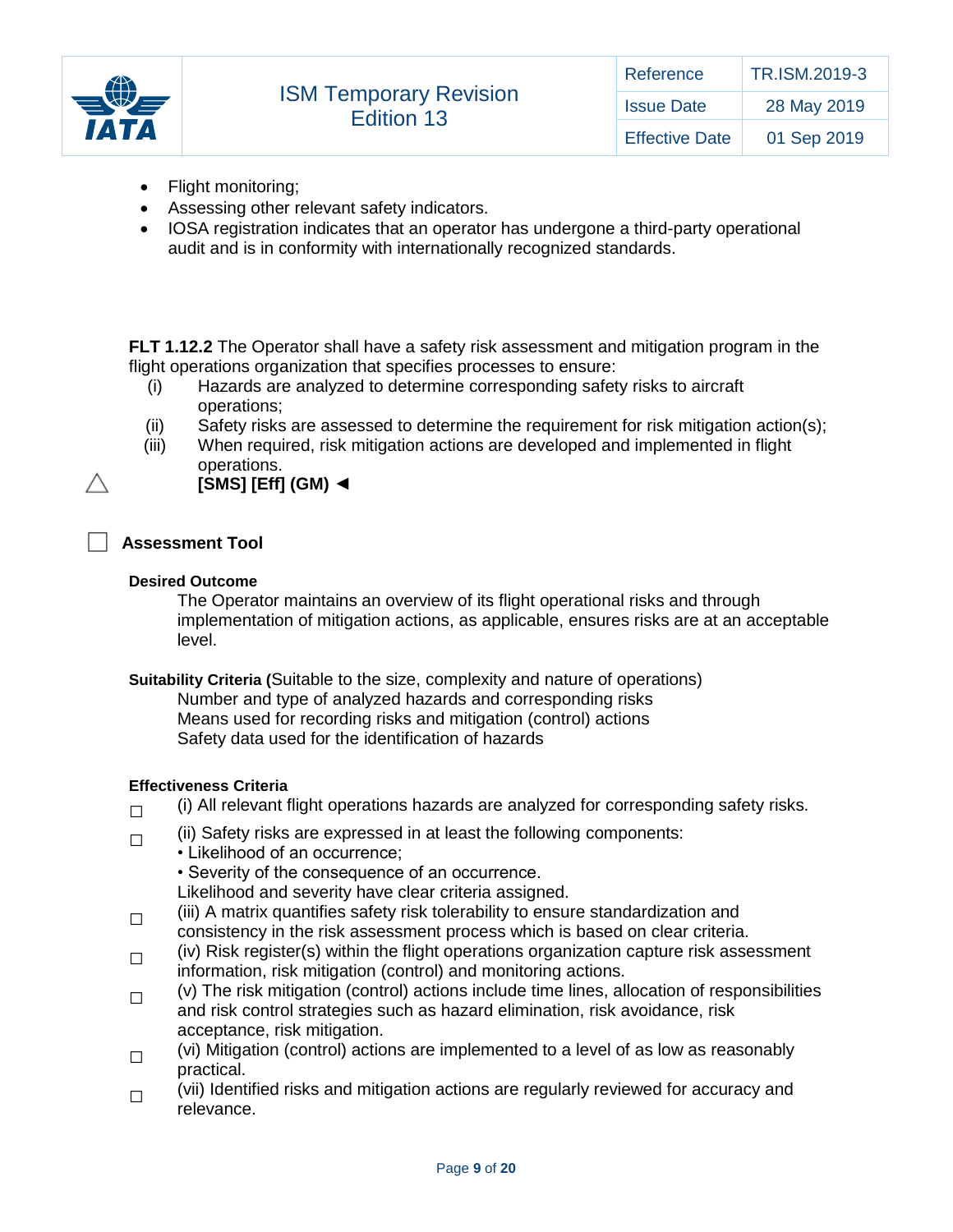

- Flight monitoring;
- Assessing other relevant safety indicators.
- IOSA registration indicates that an operator has undergone a third-party operational audit and is in conformity with internationally recognized standards.

**FLT 1.12.2** The Operator shall have a safety risk assessment and mitigation program in the flight operations organization that specifies processes to ensure:

- (i) Hazards are analyzed to determine corresponding safety risks to aircraft operations;
- (ii) Safety risks are assessed to determine the requirement for risk mitigation action(s);
- (iii) When required, risk mitigation actions are developed and implemented in flight operations.

 $\wedge$ 

**[SMS] [Eff] (GM)** ◄

### **Assessment Tool**

#### **Desired Outcome**

The Operator maintains an overview of its flight operational risks and through implementation of mitigation actions, as applicable, ensures risks are at an acceptable level.

**Suitability Criteria (**Suitable to the size, complexity and nature of operations)

Number and type of analyzed hazards and corresponding risks Means used for recording risks and mitigation (control) actions Safety data used for the identification of hazards

#### **Effectiveness Criteria**

- $\Box$  (i) All relevant flight operations hazards are analyzed for corresponding safety risks.
- $\Box$  (ii) Safety risks are expressed in at least the following components:
	- Likelihood of an occurrence;
	- Severity of the consequence of an occurrence.
	- Likelihood and severity have clear criteria assigned.
- $\Box$  (iii) A matrix quantifies safety risk tolerability to ensure standardization and consistency in the risk assessment process which is based on clear criteria.
- $\Box$  (iv) Risk register(s) within the flight operations organization capture risk assessment information, risk mitigation (control) and monitoring actions.
- $\Box$  (v) The risk mitigation (control) actions include time lines, allocation of responsibilities and risk control strategies such as hazard elimination, risk avoidance, risk acceptance, risk mitigation.
- $\Box$  (vi) Mitigation (control) actions are implemented to a level of as low as reasonably practical.
- $\Box$  (vii) Identified risks and mitigation actions are regularly reviewed for accuracy and relevance.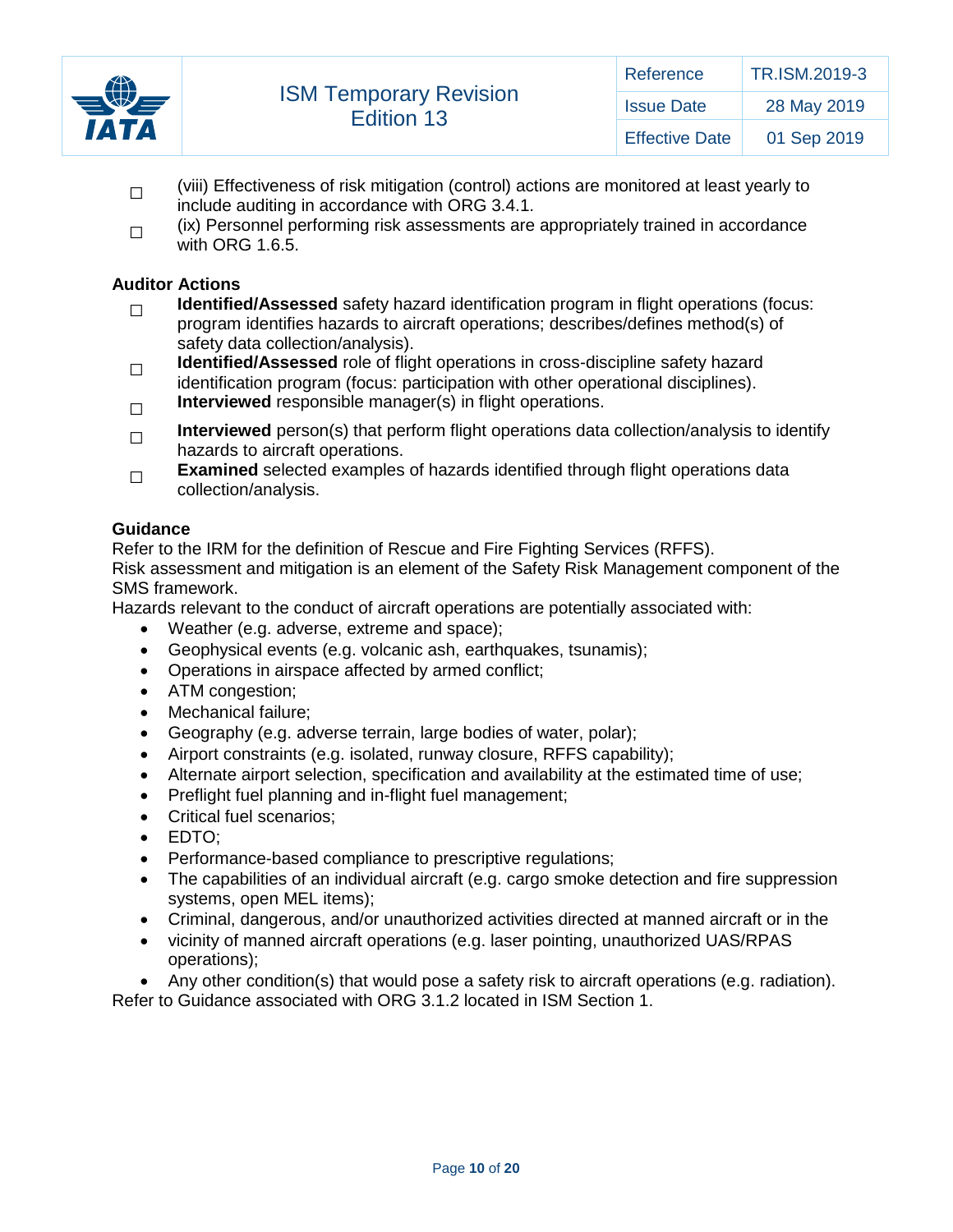

- $\Box$  (viii) Effectiveness of risk mitigation (control) actions are monitored at least yearly to include auditing in accordance with ORG 3.4.1.
- $\Box$  (ix) Personnel performing risk assessments are appropriately trained in accordance with ORG 1.6.5.

- □ **Identified/Assessed** safety hazard identification program in flight operations (focus: program identifies hazards to aircraft operations; describes/defines method(s) of safety data collection/analysis).
- □ **Identified/Assessed** role of flight operations in cross-discipline safety hazard identification program (focus: participation with other operational disciplines).
- □ **Interviewed** responsible manager(s) in flight operations.
- □ **Interviewed** person(s) that perform flight operations data collection/analysis to identify hazards to aircraft operations.
- $\Box$  **Examined** selected examples of hazards identified through flight operations data collection/analysis.

## **Guidance**

Refer to the IRM for the definition of Rescue and Fire Fighting Services (RFFS). Risk assessment and mitigation is an element of the Safety Risk Management component of the SMS framework.

Hazards relevant to the conduct of aircraft operations are potentially associated with:

- Weather (e.g. adverse, extreme and space);
- Geophysical events (e.g. volcanic ash, earthquakes, tsunamis);
- Operations in airspace affected by armed conflict;
- ATM congestion;
- Mechanical failure;
- Geography (e.g. adverse terrain, large bodies of water, polar);
- Airport constraints (e.g. isolated, runway closure, RFFS capability);
- Alternate airport selection, specification and availability at the estimated time of use;
- Preflight fuel planning and in-flight fuel management;
- Critical fuel scenarios;
- EDTO;
- Performance-based compliance to prescriptive regulations;
- The capabilities of an individual aircraft (e.g. cargo smoke detection and fire suppression systems, open MEL items);
- Criminal, dangerous, and/or unauthorized activities directed at manned aircraft or in the
- vicinity of manned aircraft operations (e.g. laser pointing, unauthorized UAS/RPAS operations);

• Any other condition(s) that would pose a safety risk to aircraft operations (e.g. radiation). Refer to Guidance associated with ORG 3.1.2 located in ISM Section 1.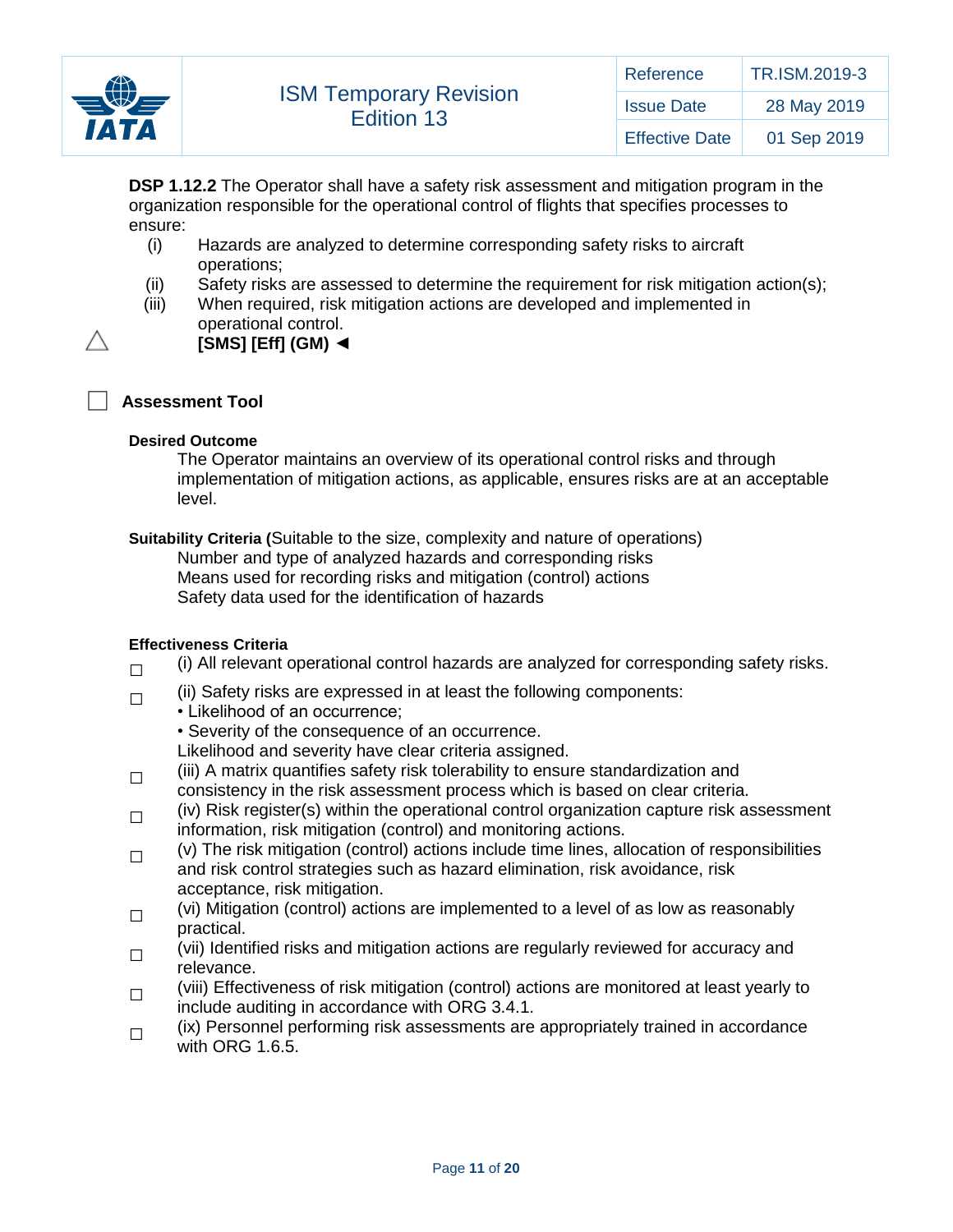

**DSP 1.12.2** The Operator shall have a safety risk assessment and mitigation program in the organization responsible for the operational control of flights that specifies processes to ensure:

- (i) Hazards are analyzed to determine corresponding safety risks to aircraft operations;
- (ii) Safety risks are assessed to determine the requirement for risk mitigation action(s);
- (iii) When required, risk mitigation actions are developed and implemented in operational control.

**[SMS] [Eff] (GM)** ◄

# **Assessment Tool**

### **Desired Outcome**

The Operator maintains an overview of its operational control risks and through implementation of mitigation actions, as applicable, ensures risks are at an acceptable level.

**Suitability Criteria (**Suitable to the size, complexity and nature of operations)

Number and type of analyzed hazards and corresponding risks Means used for recording risks and mitigation (control) actions Safety data used for the identification of hazards

### **Effectiveness Criteria**

- $\Box$  (i) All relevant operational control hazards are analyzed for corresponding safety risks.
- $\Box$  (ii) Safety risks are expressed in at least the following components:
	- Likelihood of an occurrence;
		- Severity of the consequence of an occurrence.

Likelihood and severity have clear criteria assigned.

- $\Box$  (iii) A matrix quantifies safety risk tolerability to ensure standardization and consistency in the risk assessment process which is based on clear criteria.
- $\Box$  (iv) Risk register(s) within the operational control organization capture risk assessment information, risk mitigation (control) and monitoring actions.
- $\Box$  (v) The risk mitigation (control) actions include time lines, allocation of responsibilities and risk control strategies such as hazard elimination, risk avoidance, risk acceptance, risk mitigation.
- $\Box$  (vi) Mitigation (control) actions are implemented to a level of as low as reasonably practical.
- $\Box$  (vii) Identified risks and mitigation actions are regularly reviewed for accuracy and relevance.
- $\Box$  (viii) Effectiveness of risk mitigation (control) actions are monitored at least yearly to include auditing in accordance with ORG 3.4.1.
- $\Box$  (ix) Personnel performing risk assessments are appropriately trained in accordance with ORG 1.6.5.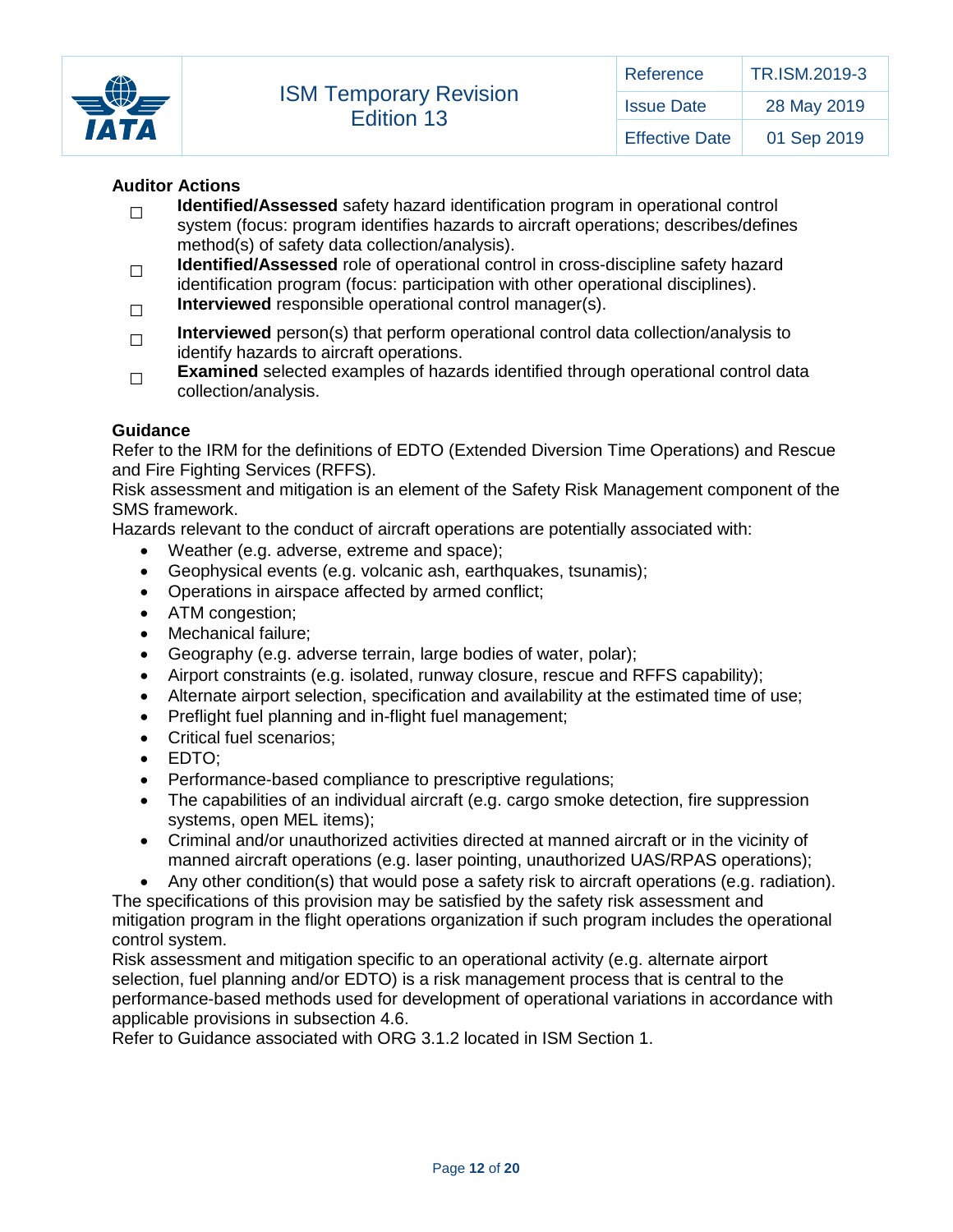

- □ **Identified/Assessed** safety hazard identification program in operational control system (focus: program identifies hazards to aircraft operations; describes/defines method(s) of safety data collection/analysis).
- □ **Identified/Assessed** role of operational control in cross-discipline safety hazard identification program (focus: participation with other operational disciplines).
- □ **Interviewed** responsible operational control manager(s).
- □ **Interviewed** person(s) that perform operational control data collection/analysis to identify hazards to aircraft operations.
- $\Box$  **Examined** selected examples of hazards identified through operational control data collection/analysis.

## **Guidance**

Refer to the IRM for the definitions of EDTO (Extended Diversion Time Operations) and Rescue and Fire Fighting Services (RFFS).

Risk assessment and mitigation is an element of the Safety Risk Management component of the SMS framework.

Hazards relevant to the conduct of aircraft operations are potentially associated with:

- Weather (e.g. adverse, extreme and space);
- Geophysical events (e.g. volcanic ash, earthquakes, tsunamis);
- Operations in airspace affected by armed conflict;
- ATM congestion;
- Mechanical failure;
- Geography (e.g. adverse terrain, large bodies of water, polar);
- Airport constraints (e.g. isolated, runway closure, rescue and RFFS capability);
- Alternate airport selection, specification and availability at the estimated time of use;
- Preflight fuel planning and in-flight fuel management;
- Critical fuel scenarios;
- EDTO;
- Performance-based compliance to prescriptive regulations;
- The capabilities of an individual aircraft (e.g. cargo smoke detection, fire suppression systems, open MEL items);
- Criminal and/or unauthorized activities directed at manned aircraft or in the vicinity of manned aircraft operations (e.g. laser pointing, unauthorized UAS/RPAS operations);

• Any other condition(s) that would pose a safety risk to aircraft operations (e.g. radiation).

The specifications of this provision may be satisfied by the safety risk assessment and mitigation program in the flight operations organization if such program includes the operational control system.

Risk assessment and mitigation specific to an operational activity (e.g. alternate airport selection, fuel planning and/or EDTO) is a risk management process that is central to the performance-based methods used for development of operational variations in accordance with applicable provisions in subsection 4.6.

Refer to Guidance associated with ORG 3.1.2 located in ISM Section 1.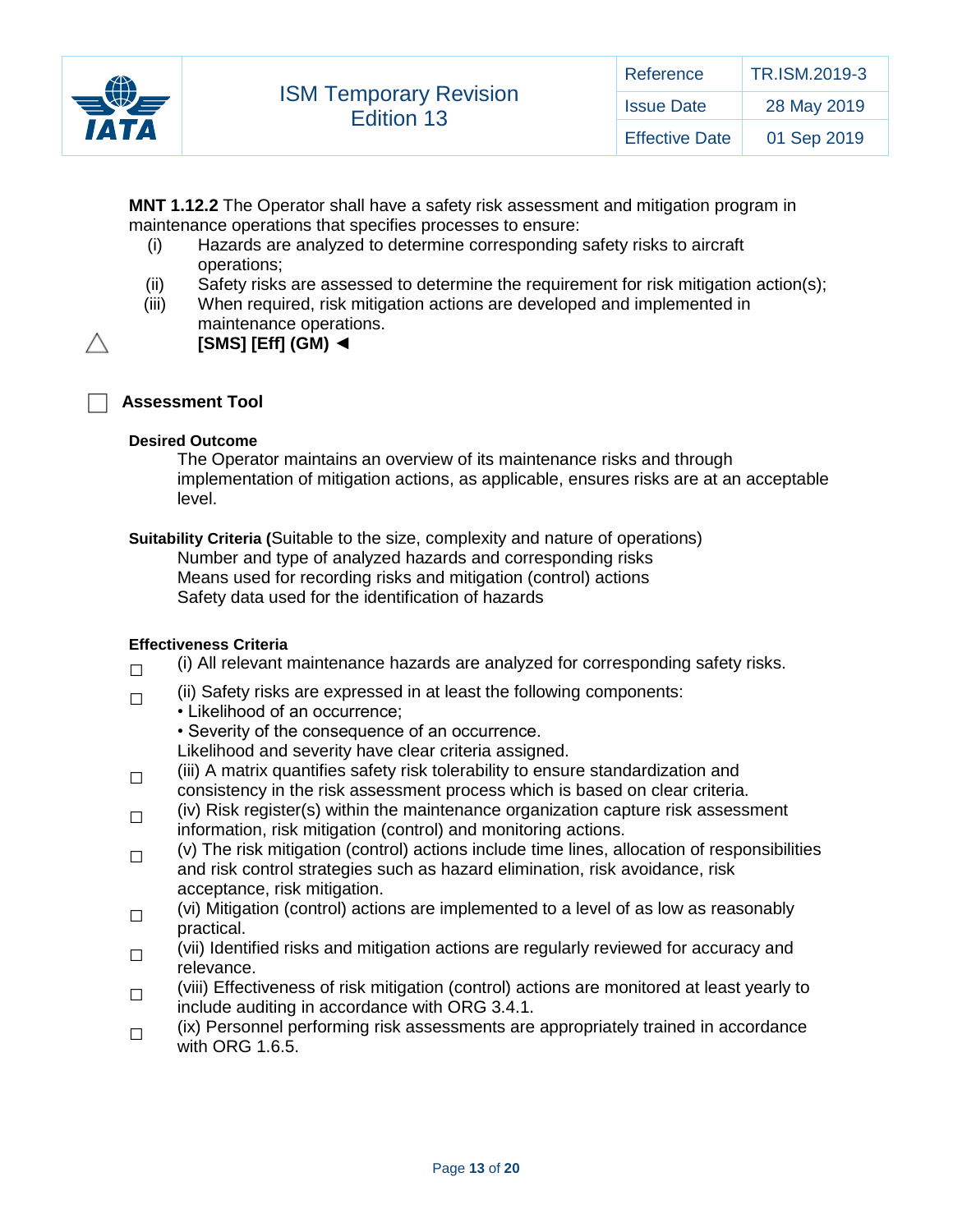

 $\wedge$ 

**MNT 1.12.2** The Operator shall have a safety risk assessment and mitigation program in maintenance operations that specifies processes to ensure:

- (i) Hazards are analyzed to determine corresponding safety risks to aircraft operations;
- (ii) Safety risks are assessed to determine the requirement for risk mitigation action(s);
- (iii) When required, risk mitigation actions are developed and implemented in maintenance operations.

**[SMS] [Eff] (GM)** ◄

## **Assessment Tool**

#### **Desired Outcome**

The Operator maintains an overview of its maintenance risks and through implementation of mitigation actions, as applicable, ensures risks are at an acceptable level.

**Suitability Criteria (**Suitable to the size, complexity and nature of operations) Number and type of analyzed hazards and corresponding risks

Means used for recording risks and mitigation (control) actions Safety data used for the identification of hazards

### **Effectiveness Criteria**

- $\Box$  (i) All relevant maintenance hazards are analyzed for corresponding safety risks.
- $\Box$  (ii) Safety risks are expressed in at least the following components:
	- Likelihood of an occurrence;
		- Severity of the consequence of an occurrence.

Likelihood and severity have clear criteria assigned.

- $\Box$  (iii) A matrix quantifies safety risk tolerability to ensure standardization and consistency in the risk assessment process which is based on clear criteria.
- $\Box$  (iv) Risk register(s) within the maintenance organization capture risk assessment information, risk mitigation (control) and monitoring actions.
- $\Box$  (v) The risk mitigation (control) actions include time lines, allocation of responsibilities and risk control strategies such as hazard elimination, risk avoidance, risk acceptance, risk mitigation.
- $\Box$  (vi) Mitigation (control) actions are implemented to a level of as low as reasonably practical.
- $\Box$  (vii) Identified risks and mitigation actions are regularly reviewed for accuracy and relevance.
- $\Box$  (viii) Effectiveness of risk mitigation (control) actions are monitored at least yearly to include auditing in accordance with ORG 3.4.1.
- $\Box$  (ix) Personnel performing risk assessments are appropriately trained in accordance with ORG 1.6.5.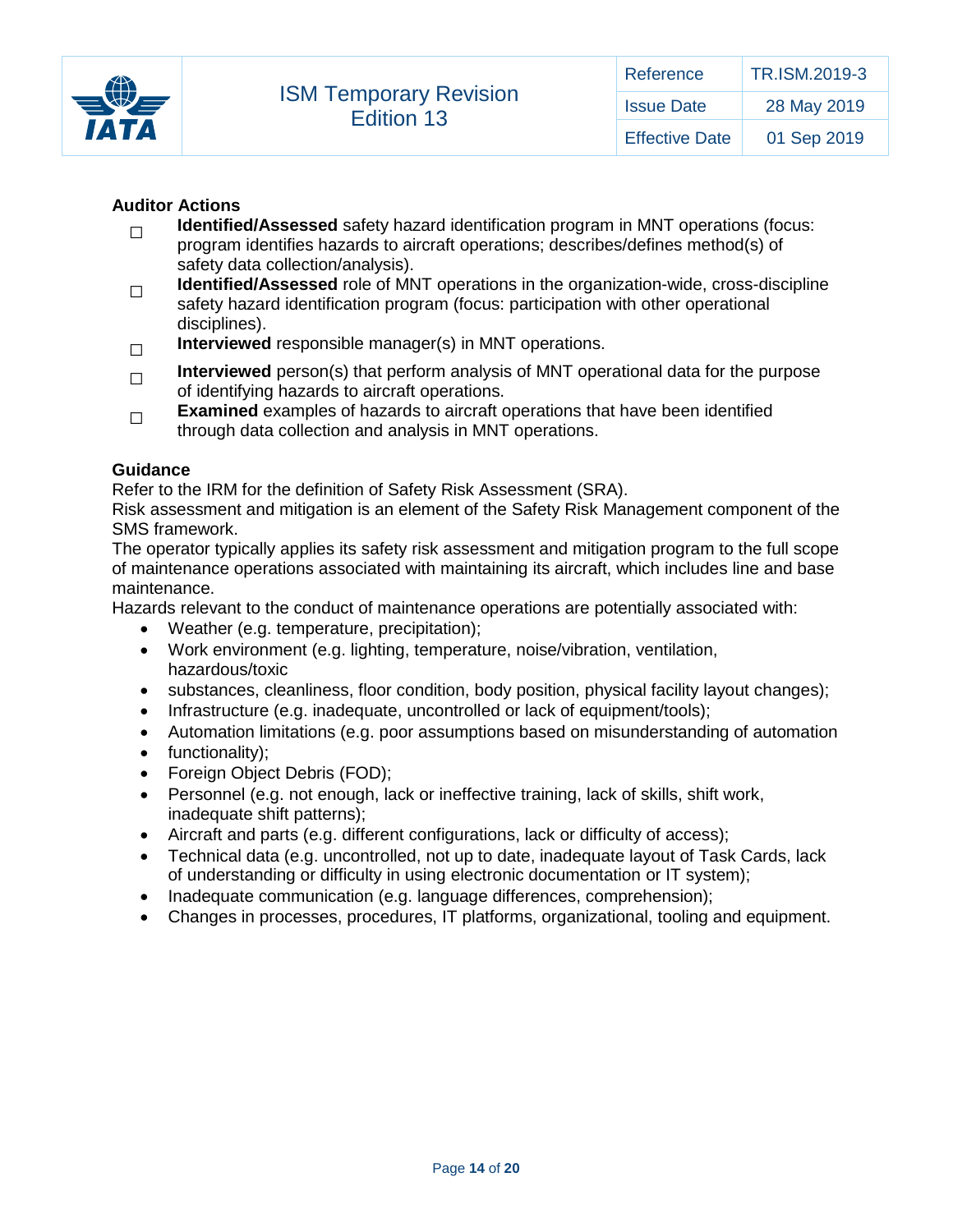

- $\Box$  **Identified/Assessed** safety hazard identification program in MNT operations (focus: program identifies hazards to aircraft operations; describes/defines method(s) of safety data collection/analysis).
- □ **Identified/Assessed** role of MNT operations in the organization-wide, cross-discipline safety hazard identification program (focus: participation with other operational disciplines).
- □ **Interviewed** responsible manager(s) in MNT operations.
- $\Box$  **Interviewed** person(s) that perform analysis of MNT operational data for the purpose of identifying hazards to aircraft operations.
- □ **Examined** examples of hazards to aircraft operations that have been identified through data collection and analysis in MNT operations.

#### **Guidance**

Refer to the IRM for the definition of Safety Risk Assessment (SRA).

Risk assessment and mitigation is an element of the Safety Risk Management component of the SMS framework.

The operator typically applies its safety risk assessment and mitigation program to the full scope of maintenance operations associated with maintaining its aircraft, which includes line and base maintenance.

Hazards relevant to the conduct of maintenance operations are potentially associated with:

- Weather (e.g. temperature, precipitation);
- Work environment (e.g. lighting, temperature, noise/vibration, ventilation, hazardous/toxic
- substances, cleanliness, floor condition, body position, physical facility layout changes);
- Infrastructure (e.g. inadequate, uncontrolled or lack of equipment/tools);
- Automation limitations (e.g. poor assumptions based on misunderstanding of automation
- functionality);
- Foreign Object Debris (FOD);
- Personnel (e.g. not enough, lack or ineffective training, lack of skills, shift work, inadequate shift patterns);
- Aircraft and parts (e.g. different configurations, lack or difficulty of access);
- Technical data (e.g. uncontrolled, not up to date, inadequate layout of Task Cards, lack of understanding or difficulty in using electronic documentation or IT system);
- Inadequate communication (e.g. language differences, comprehension);
- Changes in processes, procedures, IT platforms, organizational, tooling and equipment.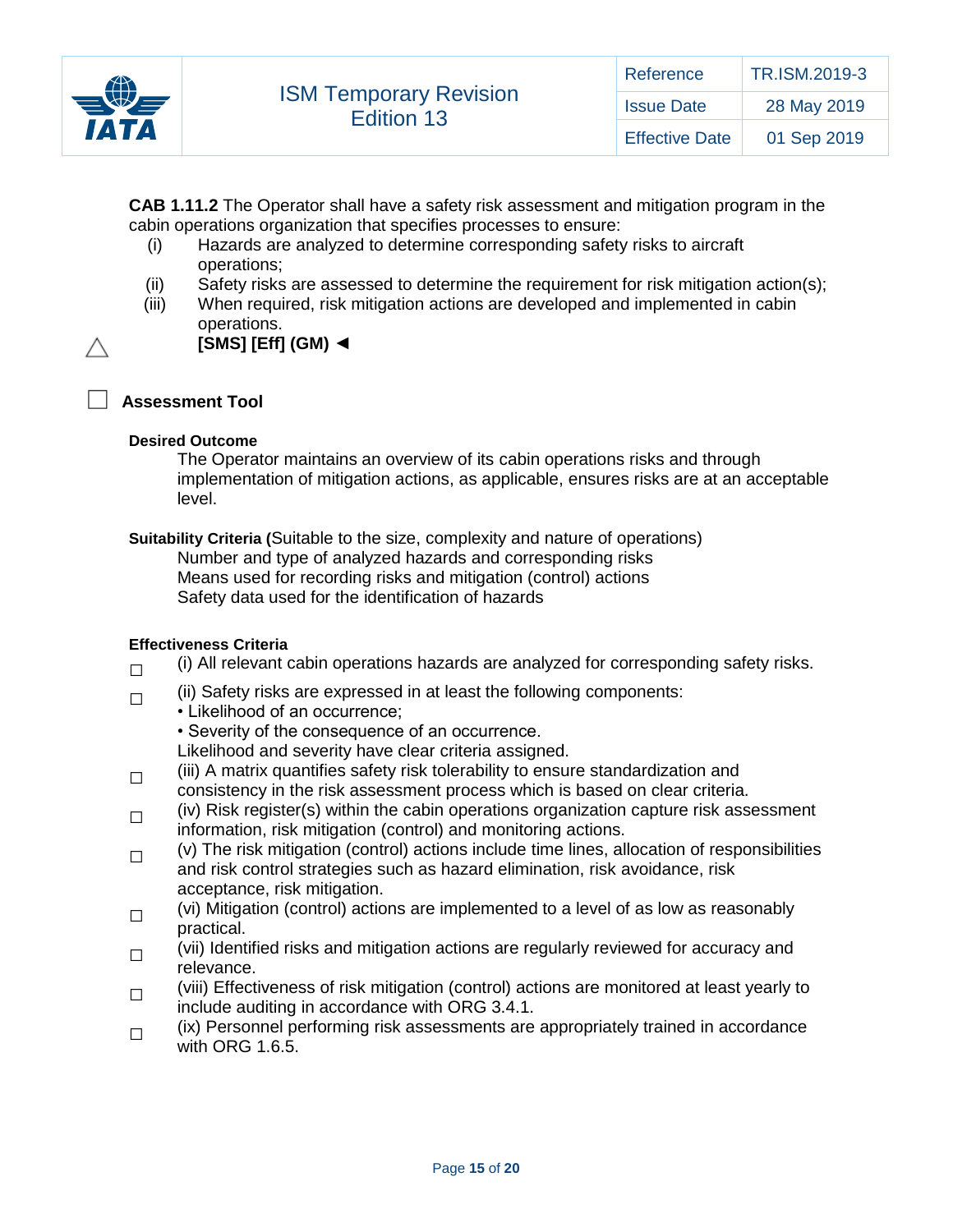

 $\wedge$ 

**CAB 1.11.2** The Operator shall have a safety risk assessment and mitigation program in the cabin operations organization that specifies processes to ensure:

- (i) Hazards are analyzed to determine corresponding safety risks to aircraft operations;
- (ii) Safety risks are assessed to determine the requirement for risk mitigation action(s);
- (iii) When required, risk mitigation actions are developed and implemented in cabin operations.

**[SMS] [Eff] (GM)** ◄

## **Assessment Tool**

#### **Desired Outcome**

The Operator maintains an overview of its cabin operations risks and through implementation of mitigation actions, as applicable, ensures risks are at an acceptable level.

**Suitability Criteria (**Suitable to the size, complexity and nature of operations)

Number and type of analyzed hazards and corresponding risks Means used for recording risks and mitigation (control) actions Safety data used for the identification of hazards

### **Effectiveness Criteria**

- $\Box$  (i) All relevant cabin operations hazards are analyzed for corresponding safety risks.
- $\Box$  (ii) Safety risks are expressed in at least the following components:
	- Likelihood of an occurrence;
		- Severity of the consequence of an occurrence.

Likelihood and severity have clear criteria assigned.

- $\Box$  (iii) A matrix quantifies safety risk tolerability to ensure standardization and consistency in the risk assessment process which is based on clear criteria.
- $\Box$  (iv) Risk register(s) within the cabin operations organization capture risk assessment information, risk mitigation (control) and monitoring actions.
- $\Box$  (v) The risk mitigation (control) actions include time lines, allocation of responsibilities and risk control strategies such as hazard elimination, risk avoidance, risk acceptance, risk mitigation.
- $\Box$  (vi) Mitigation (control) actions are implemented to a level of as low as reasonably practical.
- $\Box$  (vii) Identified risks and mitigation actions are regularly reviewed for accuracy and relevance.
- $\Box$  (viii) Effectiveness of risk mitigation (control) actions are monitored at least yearly to include auditing in accordance with ORG 3.4.1.
- $\Box$  (ix) Personnel performing risk assessments are appropriately trained in accordance with ORG 1.6.5.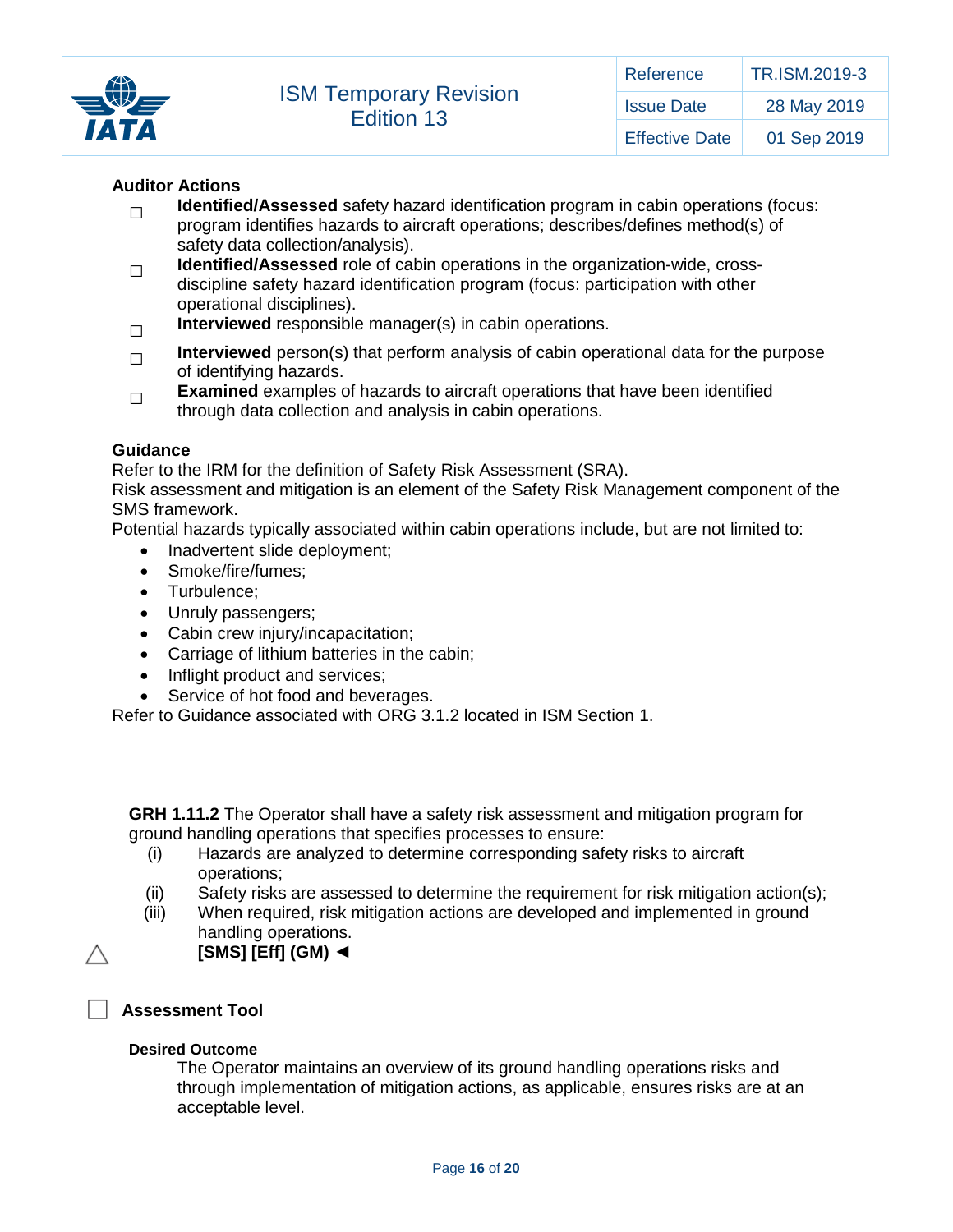

- $\Box$  **Identified/Assessed** safety hazard identification program in cabin operations (focus: program identifies hazards to aircraft operations; describes/defines method(s) of safety data collection/analysis).
- □ **Identified/Assessed** role of cabin operations in the organization-wide, crossdiscipline safety hazard identification program (focus: participation with other operational disciplines).
- □ **Interviewed** responsible manager(s) in cabin operations.
- □ **Interviewed** person(s) that perform analysis of cabin operational data for the purpose of identifying hazards.
- □ **Examined** examples of hazards to aircraft operations that have been identified through data collection and analysis in cabin operations.

#### **Guidance**

Refer to the IRM for the definition of Safety Risk Assessment (SRA).

Risk assessment and mitigation is an element of the Safety Risk Management component of the SMS framework.

Potential hazards typically associated within cabin operations include, but are not limited to:

- Inadvertent slide deployment;
- Smoke/fire/fumes;
- Turbulence;
- Unruly passengers;
- Cabin crew injury/incapacitation;
- Carriage of lithium batteries in the cabin;
- Inflight product and services;
- Service of hot food and beverages.

Refer to Guidance associated with ORG 3.1.2 located in ISM Section 1.

**GRH 1.11.2** The Operator shall have a safety risk assessment and mitigation program for ground handling operations that specifies processes to ensure:

- (i) Hazards are analyzed to determine corresponding safety risks to aircraft operations;
- (ii) Safety risks are assessed to determine the requirement for risk mitigation action(s);
- (iii) When required, risk mitigation actions are developed and implemented in ground handling operations.

**[SMS] [Eff] (GM)** ◄

### **Assessment Tool**

Л

#### **Desired Outcome**

The Operator maintains an overview of its ground handling operations risks and through implementation of mitigation actions, as applicable, ensures risks are at an acceptable level.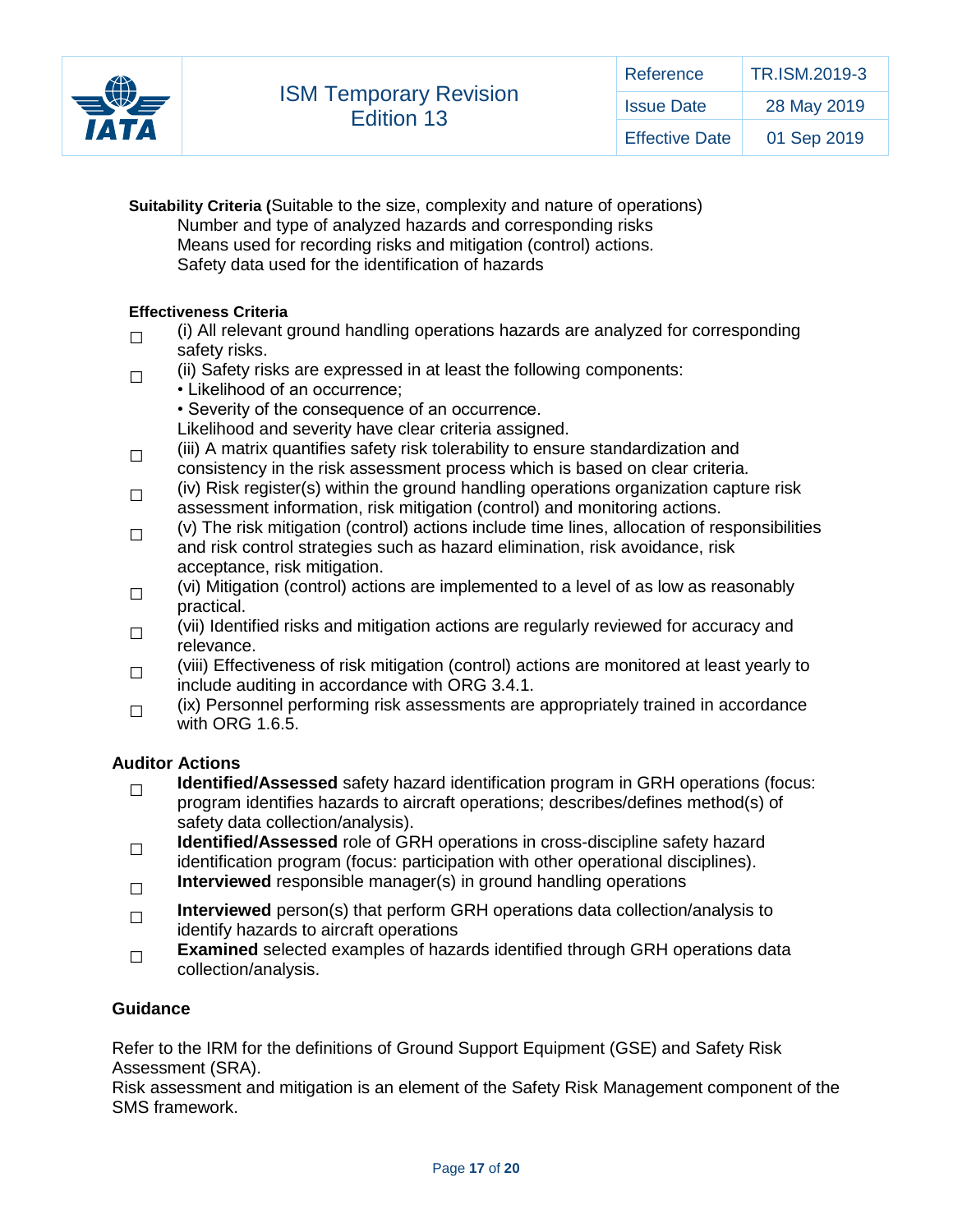

**Suitability Criteria (**Suitable to the size, complexity and nature of operations) Number and type of analyzed hazards and corresponding risks Means used for recording risks and mitigation (control) actions. Safety data used for the identification of hazards

#### **Effectiveness Criteria**

- $\Box$  (i) All relevant ground handling operations hazards are analyzed for corresponding safety risks.
- $\Box$  (ii) Safety risks are expressed in at least the following components:
	- Likelihood of an occurrence;
	- Severity of the consequence of an occurrence.
	- Likelihood and severity have clear criteria assigned.
- $\Box$  (iii) A matrix quantifies safety risk tolerability to ensure standardization and consistency in the risk assessment process which is based on clear criteria.
- $\Box$  (iv) Risk register(s) within the ground handling operations organization capture risk assessment information, risk mitigation (control) and monitoring actions.
- $\Box$  (v) The risk mitigation (control) actions include time lines, allocation of responsibilities and risk control strategies such as hazard elimination, risk avoidance, risk acceptance, risk mitigation.
- $\Box$  (vi) Mitigation (control) actions are implemented to a level of as low as reasonably practical.
- $\Box$  (vii) Identified risks and mitigation actions are regularly reviewed for accuracy and relevance.
- $\Box$  (viii) Effectiveness of risk mitigation (control) actions are monitored at least yearly to include auditing in accordance with ORG 3.4.1.
- $\Box$  (ix) Personnel performing risk assessments are appropriately trained in accordance with ORG 1.6.5.

### **Auditor Actions**

- □ **Identified/Assessed** safety hazard identification program in GRH operations (focus: program identifies hazards to aircraft operations; describes/defines method(s) of safety data collection/analysis).
- □ **Identified/Assessed** role of GRH operations in cross-discipline safety hazard identification program (focus: participation with other operational disciplines).
- □ **Interviewed** responsible manager(s) in ground handling operations
- □ **Interviewed** person(s) that perform GRH operations data collection/analysis to identify hazards to aircraft operations
- □ **Examined** selected examples of hazards identified through GRH operations data collection/analysis.

#### **Guidance**

Refer to the IRM for the definitions of Ground Support Equipment (GSE) and Safety Risk Assessment (SRA).

Risk assessment and mitigation is an element of the Safety Risk Management component of the SMS framework.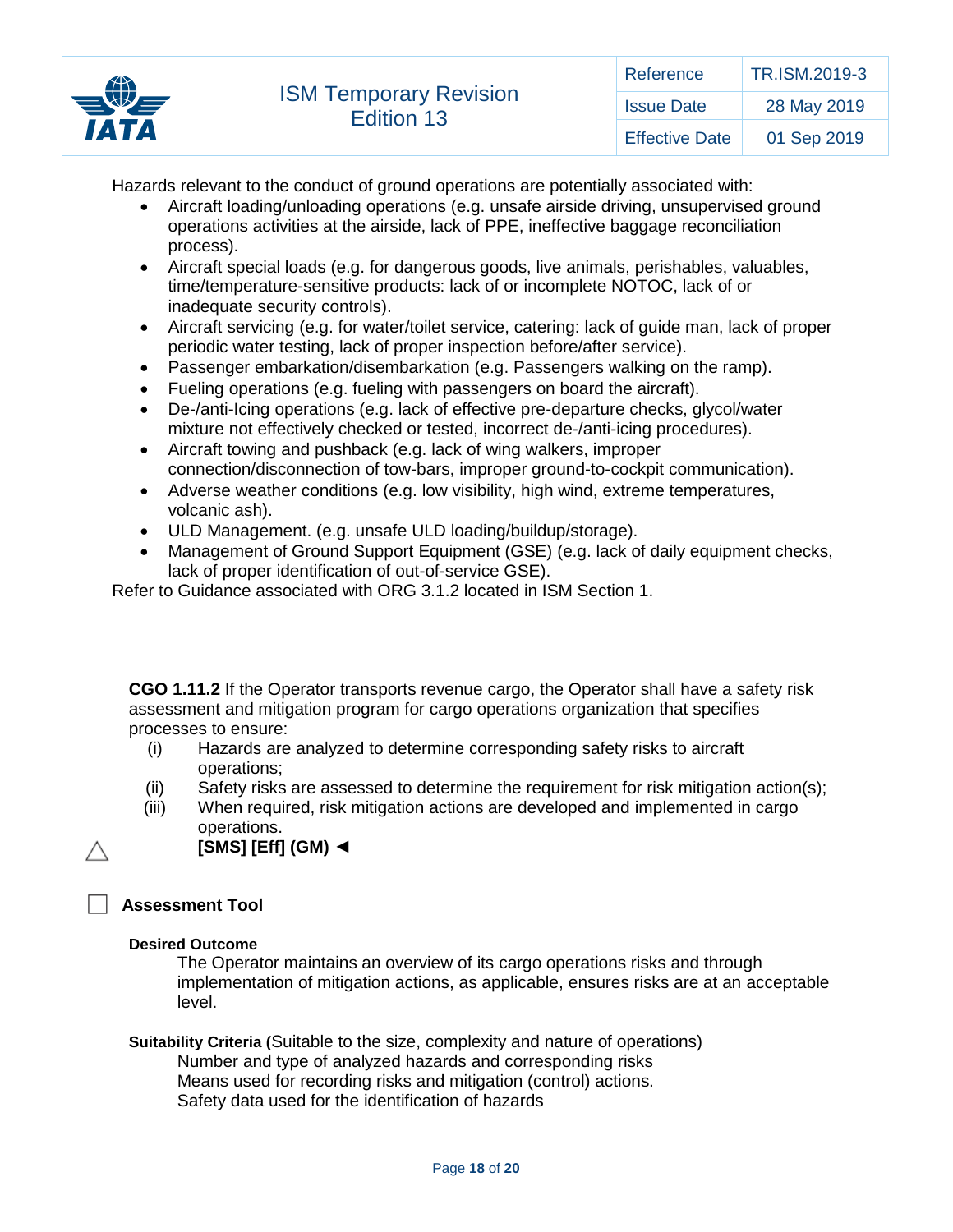

Hazards relevant to the conduct of ground operations are potentially associated with:

- Aircraft loading/unloading operations (e.g. unsafe airside driving, unsupervised ground operations activities at the airside, lack of PPE, ineffective baggage reconciliation process).
- Aircraft special loads (e.g. for dangerous goods, live animals, perishables, valuables, time/temperature-sensitive products: lack of or incomplete NOTOC, lack of or inadequate security controls).
- Aircraft servicing (e.g. for water/toilet service, catering: lack of guide man, lack of proper periodic water testing, lack of proper inspection before/after service).
- Passenger embarkation/disembarkation (e.g. Passengers walking on the ramp).
- Fueling operations (e.g. fueling with passengers on board the aircraft).
- De-/anti-Icing operations (e.g. lack of effective pre-departure checks, glycol/water mixture not effectively checked or tested, incorrect de-/anti-icing procedures).
- Aircraft towing and pushback (e.g. lack of wing walkers, improper connection/disconnection of tow-bars, improper ground-to-cockpit communication).
- Adverse weather conditions (e.g. low visibility, high wind, extreme temperatures, volcanic ash).
- ULD Management. (e.g. unsafe ULD loading/buildup/storage).
- Management of Ground Support Equipment (GSE) (e.g. lack of daily equipment checks, lack of proper identification of out-of-service GSE).

Refer to Guidance associated with ORG 3.1.2 located in ISM Section 1.

**CGO 1.11.2** If the Operator transports revenue cargo, the Operator shall have a safety risk assessment and mitigation program for cargo operations organization that specifies processes to ensure:

- (i) Hazards are analyzed to determine corresponding safety risks to aircraft operations;
- (ii) Safety risks are assessed to determine the requirement for risk mitigation action(s);
- (iii) When required, risk mitigation actions are developed and implemented in cargo operations.

**[SMS] [Eff] (GM)** ◄

### **Assessment Tool**

#### **Desired Outcome**

The Operator maintains an overview of its cargo operations risks and through implementation of mitigation actions, as applicable, ensures risks are at an acceptable level.

# **Suitability Criteria (**Suitable to the size, complexity and nature of operations)

Number and type of analyzed hazards and corresponding risks Means used for recording risks and mitigation (control) actions. Safety data used for the identification of hazards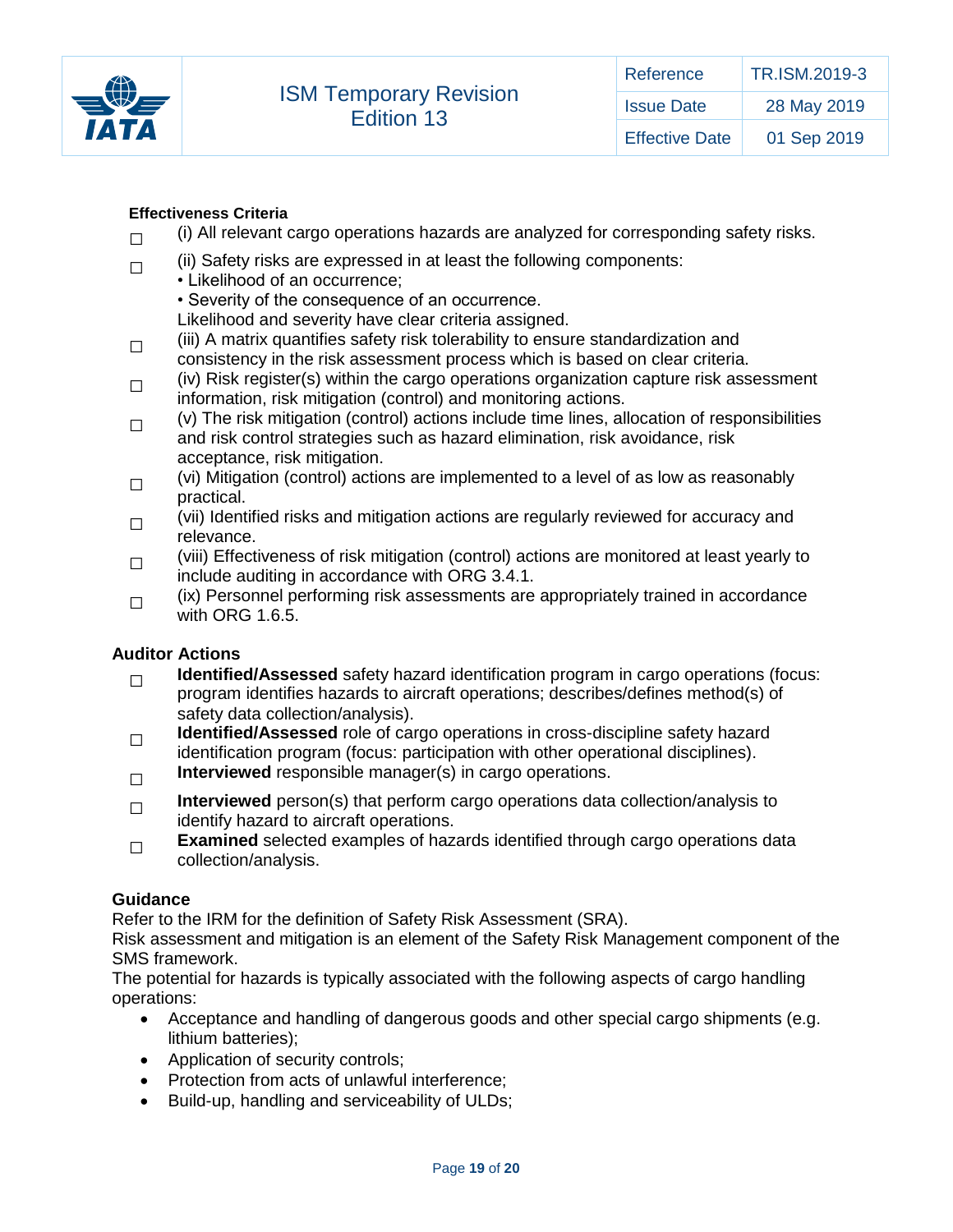

## **Effectiveness Criteria**

- $\Box$  (i) All relevant cargo operations hazards are analyzed for corresponding safety risks.
- $\Box$  (ii) Safety risks are expressed in at least the following components:
	- Likelihood of an occurrence;
	- Severity of the consequence of an occurrence.

Likelihood and severity have clear criteria assigned.

- $\Box$  (iii) A matrix quantifies safety risk tolerability to ensure standardization and consistency in the risk assessment process which is based on clear criteria.
- $\Box$  (iv) Risk register(s) within the cargo operations organization capture risk assessment information, risk mitigation (control) and monitoring actions.
- $\Box$  (v) The risk mitigation (control) actions include time lines, allocation of responsibilities and risk control strategies such as hazard elimination, risk avoidance, risk acceptance, risk mitigation.
- $\Box$  (vi) Mitigation (control) actions are implemented to a level of as low as reasonably practical.
- $\Box$  (vii) Identified risks and mitigation actions are regularly reviewed for accuracy and relevance.
- $\Box$  (viii) Effectiveness of risk mitigation (control) actions are monitored at least yearly to include auditing in accordance with ORG 3.4.1.
- $\Box$  (ix) Personnel performing risk assessments are appropriately trained in accordance with ORG 1.6.5.

## **Auditor Actions**

- $\Box$  **Identified/Assessed** safety hazard identification program in cargo operations (focus: program identifies hazards to aircraft operations; describes/defines method(s) of safety data collection/analysis).
- □ **Identified/Assessed** role of cargo operations in cross-discipline safety hazard identification program (focus: participation with other operational disciplines).
- □ **Interviewed** responsible manager(s) in cargo operations.
- $\Box$  **Interviewed** person(s) that perform cargo operations data collection/analysis to identify hazard to aircraft operations.
- □ **Examined** selected examples of hazards identified through cargo operations data collection/analysis.

### **Guidance**

Refer to the IRM for the definition of Safety Risk Assessment (SRA).

Risk assessment and mitigation is an element of the Safety Risk Management component of the SMS framework.

The potential for hazards is typically associated with the following aspects of cargo handling operations:

- Acceptance and handling of dangerous goods and other special cargo shipments (e.g. lithium batteries);
- Application of security controls;
- Protection from acts of unlawful interference:
- Build-up, handling and serviceability of ULDs;